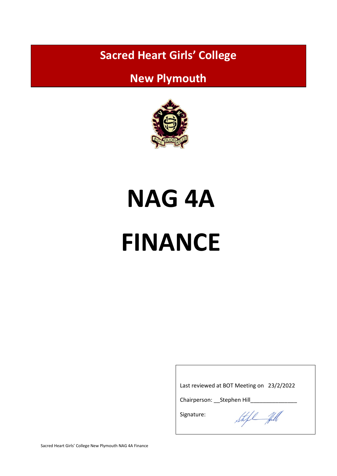**Sacred Heart Girls' College**

# **New Plymouth**



# **NAG 4A FINANCE**

Last reviewed at BOT Meeting on 23/2/2022

Chairperson: \_\_Stephen Hill\_\_\_\_

Signature:

Steft fill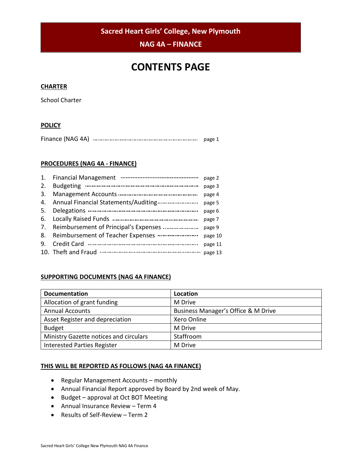**Sacred Heart Girls' College, New Plymouth**

**NAG 4A – FINANCE**

# **CONTENTS PAGE**

#### **CHARTER**

School Charter

### **POLICY**

| Finance (NAG 4A) |  | page |
|------------------|--|------|
|------------------|--|------|

#### **PROCEDURES (NAG 4A - FINANCE)**

| page 2  |
|---------|
| page 3  |
| page 4  |
| page 5  |
| page 6  |
| page 7  |
| page 9  |
| page 10 |
| page 11 |
| page 13 |
|         |

## **SUPPORTING DOCUMENTS (NAG 4A FINANCE)**

| <b>Documentation</b>                   | Location                            |  |  |  |
|----------------------------------------|-------------------------------------|--|--|--|
| Allocation of grant funding            | M Drive                             |  |  |  |
| <b>Annual Accounts</b>                 | Business Manager's Office & M Drive |  |  |  |
| Asset Register and depreciation        | Xero Online                         |  |  |  |
| <b>Budget</b>                          | M Drive                             |  |  |  |
| Ministry Gazette notices and circulars | Staffroom                           |  |  |  |
| <b>Interested Parties Register</b>     | M Drive                             |  |  |  |

#### **THIS WILL BE REPORTED AS FOLLOWS (NAG 4A FINANCE)**

- Regular Management Accounts monthly
- Annual Financial Report approved by Board by 2nd week of May.
- Budget approval at Oct BOT Meeting
- Annual Insurance Review Term 4
- Results of Self-Review Term 2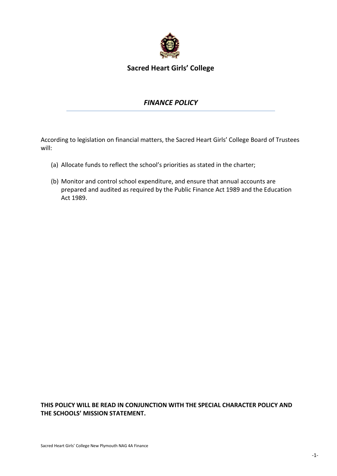

**Sacred Heart Girls' College** 

# *FINANCE POLICY*

According to legislation on financial matters, the Sacred Heart Girls' College Board of Trustees will:

- (a) Allocate funds to reflect the school's priorities as stated in the charter;
- (b) Monitor and control school expenditure, and ensure that annual accounts are prepared and audited as required by the Public Finance Act 1989 and the Education Act 1989.

## **THIS POLICY WILL BE READ IN CONJUNCTION WITH THE SPECIAL CHARACTER POLICY AND THE SCHOOLS' MISSION STATEMENT.**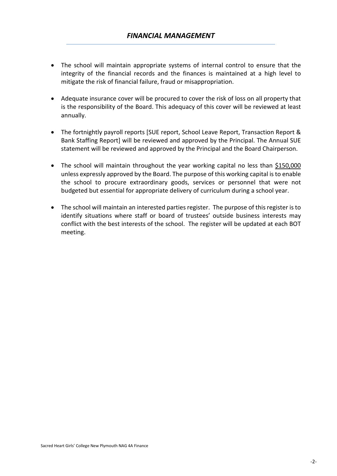- The school will maintain appropriate systems of internal control to ensure that the integrity of the financial records and the finances is maintained at a high level to mitigate the risk of financial failure, fraud or misappropriation.
- Adequate insurance cover will be procured to cover the risk of loss on all property that is the responsibility of the Board. This adequacy of this cover will be reviewed at least annually.
- The fortnightly payroll reports [SUE report, School Leave Report, Transaction Report & Bank Staffing Report] will be reviewed and approved by the Principal. The Annual SUE statement will be reviewed and approved by the Principal and the Board Chairperson.
- The school will maintain throughout the year working capital no less than \$150,000 unless expressly approved by the Board. The purpose of this working capital is to enable the school to procure extraordinary goods, services or personnel that were not budgeted but essential for appropriate delivery of curriculum during a school year.
- The school will maintain an interested parties register. The purpose of this register is to identify situations where staff or board of trustees' outside business interests may conflict with the best interests of the school. The register will be updated at each BOT meeting.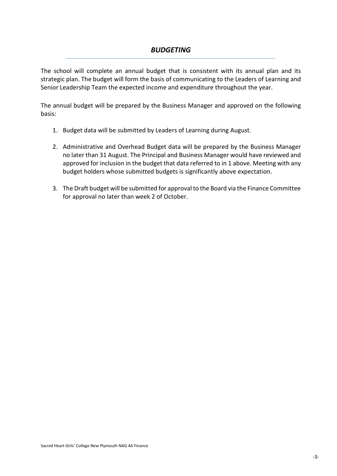# *BUDGETING*

The school will complete an annual budget that is consistent with its annual plan and its strategic plan. The budget will form the basis of communicating to the Leaders of Learning and Senior Leadership Team the expected income and expenditure throughout the year.

The annual budget will be prepared by the Business Manager and approved on the following basis:

- 1. Budget data will be submitted by Leaders of Learning during August.
- 2. Administrative and Overhead Budget data will be prepared by the Business Manager no later than 31 August. The Principal and Business Manager would have reviewed and approved for inclusion in the budget that data referred to in 1 above. Meeting with any budget holders whose submitted budgets is significantly above expectation.
- 3. The Draft budget will be submitted for approval to the Board via the Finance Committee for approval no later than week 2 of October.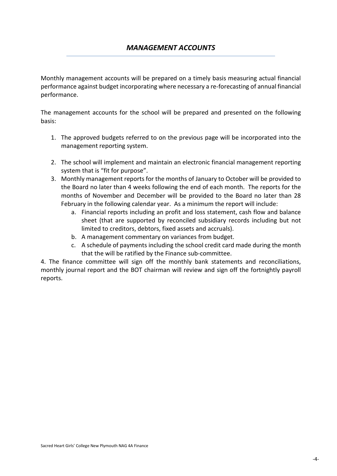Monthly management accounts will be prepared on a timely basis measuring actual financial performance against budget incorporating where necessary a re-forecasting of annual financial performance.

The management accounts for the school will be prepared and presented on the following basis:

- 1. The approved budgets referred to on the previous page will be incorporated into the management reporting system.
- 2. The school will implement and maintain an electronic financial management reporting system that is "fit for purpose".
- 3. Monthly management reports for the months of January to October will be provided to the Board no later than 4 weeks following the end of each month. The reports for the months of November and December will be provided to the Board no later than 28 February in the following calendar year. As a minimum the report will include:
	- a. Financial reports including an profit and loss statement, cash flow and balance sheet (that are supported by reconciled subsidiary records including but not limited to creditors, debtors, fixed assets and accruals).
	- b. A management commentary on variances from budget.
	- c. A schedule of payments including the school credit card made during the month that the will be ratified by the Finance sub-committee.

4. The finance committee will sign off the monthly bank statements and reconciliations, monthly journal report and the BOT chairman will review and sign off the fortnightly payroll reports.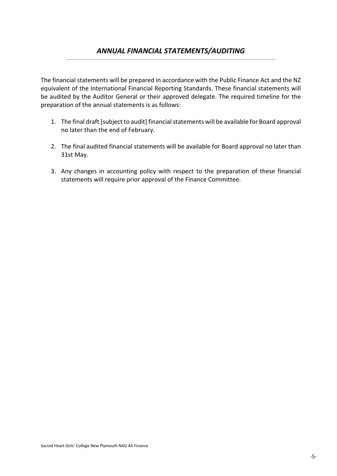## *ANNUAL FINANCIAL STATEMENTS/AUDITING*

The financial statements will be prepared in accordance with the Public Finance Act and the NZ equivalent of the International Financial Reporting Standards. These financial statements will be audited by the Auditor General or their approved delegate. The required timeline for the preparation of the annual statements is as follows:

- 1. The final draft [subject to audit] financial statements will be available for Board approval no later than the end of February.
- 2. The final audited financial statements will be available for Board approval no later than 31st May.
- 3. Any changes in accounting policy with respect to the preparation of these financial statements will require prior approval of the Finance Committee.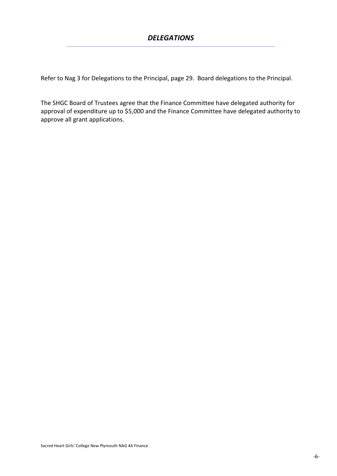Refer to Nag 3 for Delegations to the Principal, page 29. Board delegations to the Principal.

The SHGC Board of Trustees agree that the Finance Committee have delegated authority for approval of expenditure up to \$5,000 and the Finance Committee have delegated authority to approve all grant applications.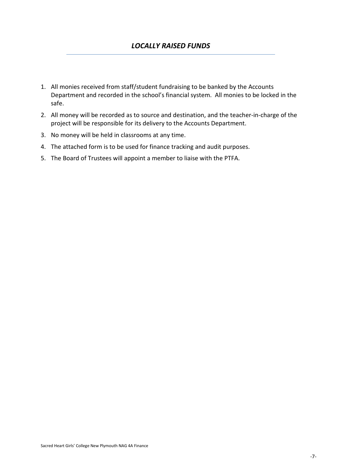- 1. All monies received from staff/student fundraising to be banked by the Accounts Department and recorded in the school's financial system. All monies to be locked in the safe.
- 2. All money will be recorded as to source and destination, and the teacher-in-charge of the project will be responsible for its delivery to the Accounts Department.
- 3. No money will be held in classrooms at any time.
- 4. The attached form is to be used for finance tracking and audit purposes.
- 5. The Board of Trustees will appoint a member to liaise with the PTFA.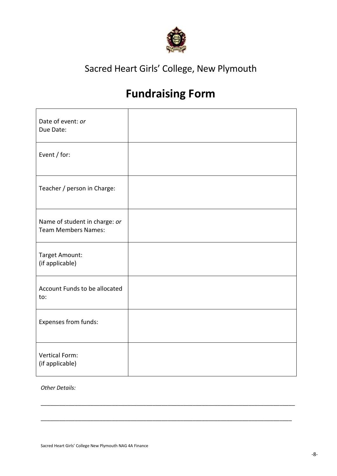

# Sacred Heart Girls' College, New Plymouth

# **Fundraising Form**

| Date of event: or<br>Due Date:                              |  |
|-------------------------------------------------------------|--|
| Event / for:                                                |  |
| Teacher / person in Charge:                                 |  |
| Name of student in charge: or<br><b>Team Members Names:</b> |  |
| Target Amount:<br>(if applicable)                           |  |
| Account Funds to be allocated<br>to:                        |  |
| Expenses from funds:                                        |  |
| <b>Vertical Form:</b><br>(if applicable)                    |  |

\_\_\_\_\_\_\_\_\_\_\_\_\_\_\_\_\_\_\_\_\_\_\_\_\_\_\_\_\_\_\_\_\_\_\_\_\_\_\_\_\_\_\_\_\_\_\_\_\_\_\_\_\_\_\_\_\_\_\_\_\_\_\_\_\_\_\_\_\_\_\_\_\_\_\_\_\_\_\_\_\_\_

\_\_\_\_\_\_\_\_\_\_\_\_\_\_\_\_\_\_\_\_\_\_\_\_\_\_\_\_\_\_\_\_\_\_\_\_\_\_\_\_\_\_\_\_\_\_\_\_\_\_\_\_\_\_\_\_\_\_\_\_\_\_\_\_\_\_\_\_\_\_\_\_\_\_\_\_\_\_\_\_\_

*Other Details:*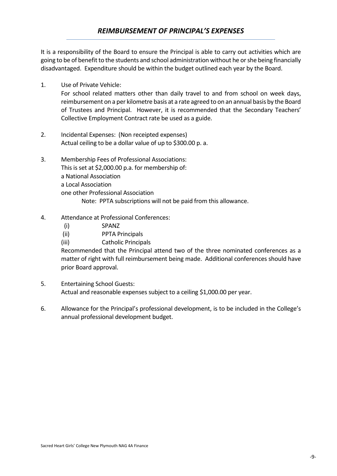It is a responsibility of the Board to ensure the Principal is able to carry out activities which are going to be of benefit to the students and school administration without he or she being financially disadvantaged. Expenditure should be within the budget outlined each year by the Board.

- 1. Use of Private Vehicle: For school related matters other than daily travel to and from school on week days, reimbursement on a per kilometre basis at a rate agreed to on an annual basis by the Board of Trustees and Principal. However, it is recommended that the Secondary Teachers' Collective Employment Contract rate be used as a guide.
- 2. Incidental Expenses: (Non receipted expenses) Actual ceiling to be a dollar value of up to \$300.00 p. a.
- 3. Membership Fees of Professional Associations: This is set at \$2,000.00 p.a. for membership of: a National Association a Local Association one other Professional Association Note: PPTA subscriptions will not be paid from this allowance.
- 4. Attendance at Professional Conferences:
	- (i) SPANZ
	- (ii) PPTA Principals
	- (iii) Catholic Principals

Recommended that the Principal attend two of the three nominated conferences as a matter of right with full reimbursement being made. Additional conferences should have prior Board approval.

- 5. Entertaining School Guests: Actual and reasonable expenses subject to a ceiling \$1,000.00 per year.
- 6. Allowance for the Principal's professional development, is to be included in the College's annual professional development budget.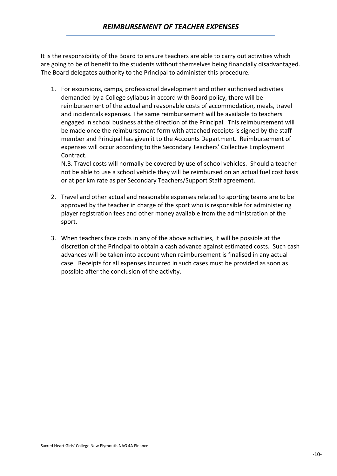It is the responsibility of the Board to ensure teachers are able to carry out activities which are going to be of benefit to the students without themselves being financially disadvantaged. The Board delegates authority to the Principal to administer this procedure.

1. For excursions, camps, professional development and other authorised activities demanded by a College syllabus in accord with Board policy, there will be reimbursement of the actual and reasonable costs of accommodation, meals, travel and incidentals expenses. The same reimbursement will be available to teachers engaged in school business at the direction of the Principal. This reimbursement will be made once the reimbursement form with attached receipts is signed by the staff member and Principal has given it to the Accounts Department. Reimbursement of expenses will occur according to the Secondary Teachers' Collective Employment Contract.

N.B. Travel costs will normally be covered by use of school vehicles. Should a teacher not be able to use a school vehicle they will be reimbursed on an actual fuel cost basis or at per km rate as per Secondary Teachers/Support Staff agreement.

- 2. Travel and other actual and reasonable expenses related to sporting teams are to be approved by the teacher in charge of the sport who is responsible for administering player registration fees and other money available from the administration of the sport.
- 3. When teachers face costs in any of the above activities, it will be possible at the discretion of the Principal to obtain a cash advance against estimated costs. Such cash advances will be taken into account when reimbursement is finalised in any actual case. Receipts for all expenses incurred in such cases must be provided as soon as possible after the conclusion of the activity.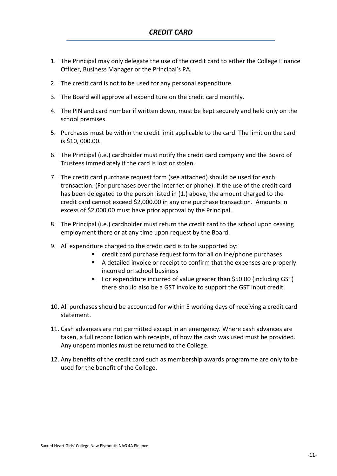- 1. The Principal may only delegate the use of the credit card to either the College Finance Officer, Business Manager or the Principal's PA.
- 2. The credit card is not to be used for any personal expenditure.
- 3. The Board will approve all expenditure on the credit card monthly.
- 4. The PIN and card number if written down, must be kept securely and held only on the school premises.
- 5. Purchases must be within the credit limit applicable to the card. The limit on the card is \$10, 000.00.
- 6. The Principal (i.e.) cardholder must notify the credit card company and the Board of Trustees immediately if the card is lost or stolen.
- 7. The credit card purchase request form (see attached) should be used for each transaction. (For purchases over the internet or phone). If the use of the credit card has been delegated to the person listed in (1.) above, the amount charged to the credit card cannot exceed \$2,000.00 in any one purchase transaction. Amounts in excess of \$2,000.00 must have prior approval by the Principal.
- 8. The Principal (i.e.) cardholder must return the credit card to the school upon ceasing employment there or at any time upon request by the Board.
- 9. All expenditure charged to the credit card is to be supported by:
	- credit card purchase request form for all online/phone purchases
	- A detailed invoice or receipt to confirm that the expenses are properly incurred on school business
	- For expenditure incurred of value greater than \$50.00 (including GST) there should also be a GST invoice to support the GST input credit.
- 10. All purchases should be accounted for within 5 working days of receiving a credit card statement.
- 11. Cash advances are not permitted except in an emergency. Where cash advances are taken, a full reconciliation with receipts, of how the cash was used must be provided. Any unspent monies must be returned to the College.
- 12. Any benefits of the credit card such as membership awards programme are only to be used for the benefit of the College.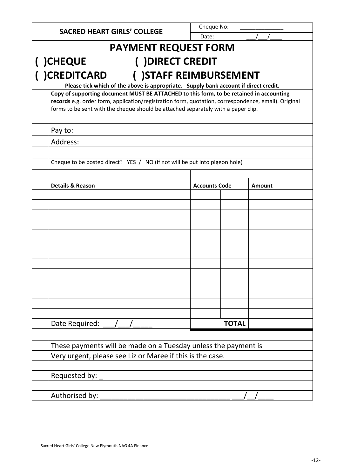| <b>SACRED HEART GIRLS' COLLEGE</b>                                                                                                                                                                                                                                                  |                                                                                      | Cheque No: |                        |        |  |  |
|-------------------------------------------------------------------------------------------------------------------------------------------------------------------------------------------------------------------------------------------------------------------------------------|--------------------------------------------------------------------------------------|------------|------------------------|--------|--|--|
| Date:<br><b>PAYMENT REQUEST FORM</b>                                                                                                                                                                                                                                                |                                                                                      |            |                        |        |  |  |
| ( ) DIRECT CREDIT<br><b>)CHEQUE</b>                                                                                                                                                                                                                                                 |                                                                                      |            |                        |        |  |  |
| <b>)CREDITCARD</b>                                                                                                                                                                                                                                                                  |                                                                                      |            | () STAFF REIMBURSEMENT |        |  |  |
|                                                                                                                                                                                                                                                                                     | Please tick which of the above is appropriate. Supply bank account if direct credit. |            |                        |        |  |  |
| Copy of supporting document MUST BE ATTACHED to this form, to be retained in accounting<br>records e.g. order form, application/registration form, quotation, correspondence, email). Original<br>forms to be sent with the cheque should be attached separately with a paper clip. |                                                                                      |            |                        |        |  |  |
| Pay to:                                                                                                                                                                                                                                                                             |                                                                                      |            |                        |        |  |  |
| Address:                                                                                                                                                                                                                                                                            |                                                                                      |            |                        |        |  |  |
| Cheque to be posted direct? YES / NO (if not will be put into pigeon hole)                                                                                                                                                                                                          |                                                                                      |            |                        |        |  |  |
|                                                                                                                                                                                                                                                                                     |                                                                                      |            |                        |        |  |  |
| <b>Details &amp; Reason</b>                                                                                                                                                                                                                                                         |                                                                                      |            | <b>Accounts Code</b>   | Amount |  |  |
|                                                                                                                                                                                                                                                                                     |                                                                                      |            |                        |        |  |  |
|                                                                                                                                                                                                                                                                                     |                                                                                      |            |                        |        |  |  |
|                                                                                                                                                                                                                                                                                     |                                                                                      |            |                        |        |  |  |
|                                                                                                                                                                                                                                                                                     |                                                                                      |            |                        |        |  |  |
|                                                                                                                                                                                                                                                                                     |                                                                                      |            |                        |        |  |  |
|                                                                                                                                                                                                                                                                                     |                                                                                      |            |                        |        |  |  |
|                                                                                                                                                                                                                                                                                     |                                                                                      |            |                        |        |  |  |
|                                                                                                                                                                                                                                                                                     |                                                                                      |            |                        |        |  |  |
|                                                                                                                                                                                                                                                                                     |                                                                                      |            |                        |        |  |  |
|                                                                                                                                                                                                                                                                                     |                                                                                      |            |                        |        |  |  |
| Date Required:                                                                                                                                                                                                                                                                      |                                                                                      |            | <b>TOTAL</b>           |        |  |  |
| These payments will be made on a Tuesday unless the payment is                                                                                                                                                                                                                      |                                                                                      |            |                        |        |  |  |
| Very urgent, please see Liz or Maree if this is the case.                                                                                                                                                                                                                           |                                                                                      |            |                        |        |  |  |
|                                                                                                                                                                                                                                                                                     |                                                                                      |            |                        |        |  |  |
| Requested by: _                                                                                                                                                                                                                                                                     |                                                                                      |            |                        |        |  |  |
| Authorised by:                                                                                                                                                                                                                                                                      |                                                                                      |            |                        |        |  |  |